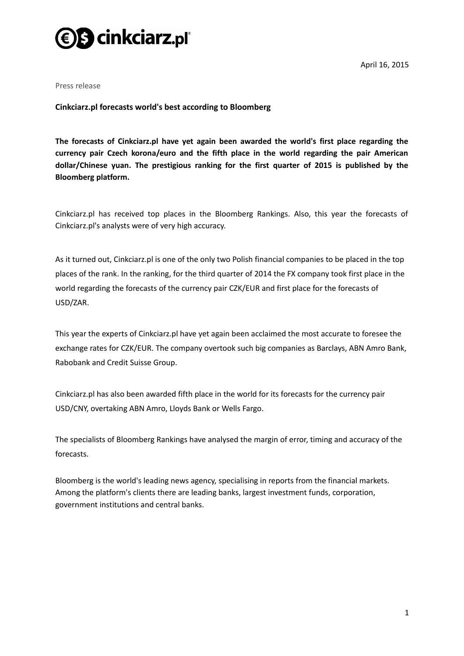

April 16, 2015

Press release

**Cinkciarz.pl forecasts world's best according to Bloomberg**

**The forecasts of Cinkciarz.pl have yet again been awarded the world's first place regarding the currency pair Czech korona/euro and the fifth place in the world regarding the pair American dollar/Chinese yuan. The prestigious ranking for the first quarter of 2015 is published by the Bloomberg platform.** 

Cinkciarz.pl has received top places in the Bloomberg Rankings. Also, this year the forecasts of Cinkciarz.pl's analysts were of very high accuracy.

As it turned out, Cinkciarz.pl is one of the only two Polish financial companies to be placed in the top places of the rank. In the ranking, for the third quarter of 2014 the FX company took first place in the world regarding the forecasts of the currency pair CZK/EUR and first place for the forecasts of USD/ZAR.

This year the experts of Cinkciarz.pl have yet again been acclaimed the most accurate to foresee the exchange rates for CZK/EUR. The company overtook such big companies as Barclays, ABN Amro Bank, Rabobank and Credit Suisse Group.

Cinkciarz.pl has also been awarded fifth place in the world for its forecasts for the currency pair USD/CNY, overtaking ABN Amro, Lloyds Bank or Wells Fargo.

The specialists of Bloomberg Rankings have analysed the margin of error, timing and accuracy of the forecasts.

Bloomberg is the world's leading news agency, specialising in reports from the financial markets. Among the platform's clients there are leading banks, largest investment funds, corporation, government institutions and central banks.